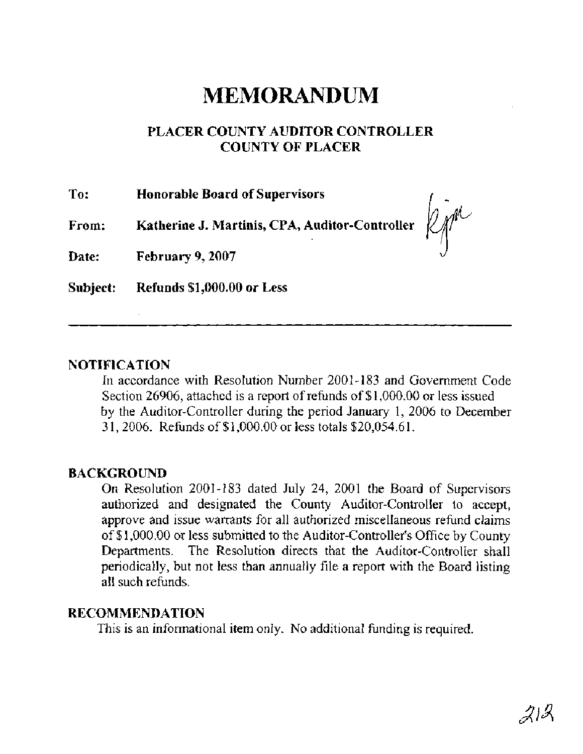# **MEMORANDUM**

### **PLACER COUNTY AUDITOR CONTROLLER COUNTY OF PLACER**

| To:      | <b>Honorable Board of Supervisors</b>                                    |  |
|----------|--------------------------------------------------------------------------|--|
| From:    | Katherine J. Martinis, CPA, Auditor-Controller $\mathbb{Z}^{\mathbb{N}}$ |  |
| Date:    | February 9, 2007                                                         |  |
| Subject: | Refunds \$1,000.00 or Less                                               |  |

#### **NOTIFICATION**

In accordance with Resolution Number 2001-183 and Government Code Section 26906, attached is a report of rehnds of \$1,000.00 or less issued by the Auditor-Controller during the period January 1, 2006 to December 3 1,2006. Refunds of \$1,000.00 or less totals \$20,054.61.

#### **BACKGROUND**

On Resolution 2001-183 dated July 24, 2001 the Board of Supervisors authorized and designated the County Auditor-Controller to accept, approve and issue warrants for all authorized miscellaneous refund claims of \$1,000.00 or less submitted to the Auditor-Controller's Office by County Departments. The Resolution directs that the Auditor-Controller shall periodically, but not less than annually file a report with the Board listing all such refunds.

#### **RECOMMENDATION**

This is an informational item only. No additional funding is required.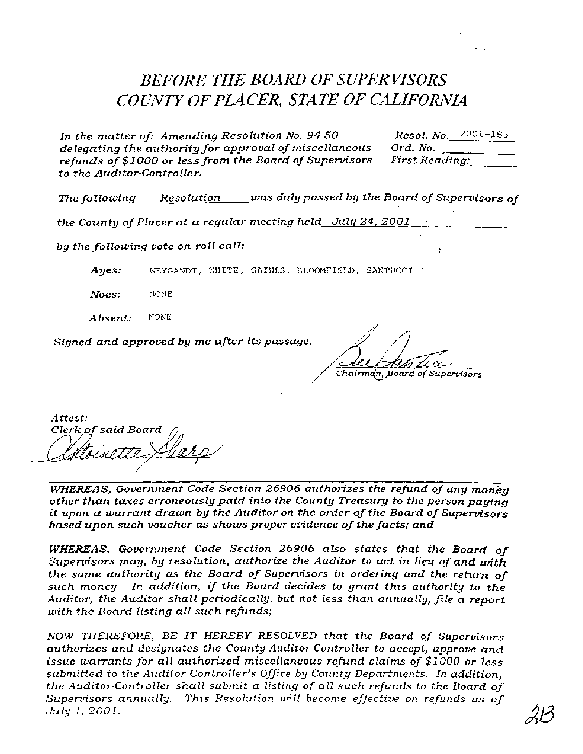## **BEFORE THE BOARD OF SUPERVISORS** *COUNTY OF PLACER, STATE OF CALIFORAX4*

*In the matter of: Amending Resolution No. 94-50* Resol. No. 2001-183<br>delegating the authority for approval of miscellaneous Ord. No. *delegating the authority for approval of miscellaneous* Ord. No. **.........**<br>refunds of \$1000 or less from the Board of Supervisors First Reading: *refunds of \$1000 or less from the Board of Supervisors to the Auditor-Contro ller.* 

**The** *fo llowing Resolution was duly passed by the Board of Supervisors of* 

*the County of Placer at a regular meeting held July 24, 2001* ,

*by the following vote on roll call:* !

*Ayes: WEYGANDT, WHITE,* GAINES, BLOOMFIELD, **SANTUCCI** '

*Noes:* NONE

*Absent:* NONE

*Signed and approved by me after* **its** *passage.* 

Chairman, Board of Supervisors

*Attest: said Board* 

*WHEREAS, Gowrnment Code Section 26906 authorizes the refind of any money other than taxes erroneously paid into the County Treasury to the persompayfng*  **it** *upon a warrant drawn by the Auditor on the order of the Board of Supervisors based upon such voucher as shows proper evidence of the facts; and* 

*WHEREAS, Government Code Section 26906 aLso states that the Board* **of**  *Supervisors may, by resolution, authorize the Auditor to act in lieu of and with the same authority as the Board of Supervisors in ordering and the return* **of**  *such money. In addition, if the Board decides to grant this authority to the Auditor, the Auditor shall periodically, but not less than annually, file a report with the Board listing all such refinds;* 

*NOW THEREFORE, BE IT HEREBY* **RESOLVED** *that the Board of Supervisors authorizes and designates* **the** *County Auditor-Controller to accept, approve and issue warrants for all authorized miscelIaneous refund claims of \$1000 or less submitted to the Auditor Controller's* **Office** *by County Departments. In addition, the Auditor-Controller shall submit a* **listing** *of a11 such refinds to the Board* **of**  *Supenrisors annually. This Resolution will become effective on refinds as* **of**  *July 1, 2001.*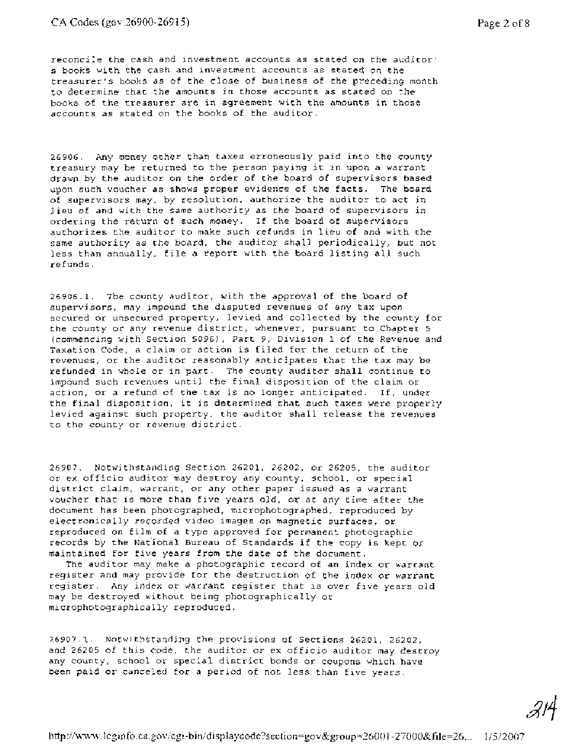#### **CA Codes** (gov:26900-269 15) Page 2 of 8

reconcile the cash and investment accounts as stated on the auditor' s books with the cash and investment accounts as stated on the treasurer's books as of the close of business of the preceding month to determine that the amounts in those accounts as stated on the books of the treasurer are in agreement with the amounts in those accounts as stated on the books of the auditor.

26906. Any money other than taxes erroneously paid into the county treasury may be returned to the person paying it in upon a warrant drawn by the auditor on the order of the board of supervisors based upon such voucher as shows proper evidence of the facts. The board of supervisors may, by resolution, authorize the auditor to act in lieu of and with the same authority as the board of supervisors in ordering the return of such money. If the board of supervisors authorizes the auditor to make such refunds in lieu of and with the same authority as the board, the auditor shall periodically, but not less than annually, file a report with the board listing all such refunds.

26906.1. The county auditor, with the approval of the board of supervisors, may impound the disputed revenues of any tax upon secured or unsecured property, levied and collected by the county for the county or any revenue district, whenever, pursuant to Chapter 5 (commencing with Section 5096), Part 9, Division 1 of the Revenue and Taxation Code, a claim or action is filed for the return of the revenues, or the auditor reasonably anticipates that the tax may be refunded in whole or in part. The county auditor shall continue to impound such revenues until the final disposition of the claim or action, or a refund of the tax is no longer anticipated. If, under the final disposition, it is determined that such taxes were properly levied against such property, the auditor shall release the revenues to the county or revenue district.

26907. Notwithstanding Section 26201, 26202, or 26205, the auditor or ex officio auditor may destroy any county, school, or special district claim, warrant, or any other paper issued as a warrant voucher that is more than five years old, or at any time after the document has been photographed, microphotographed, reproduced by electronically recorded video images on magnetic surfaces, or reproduced on film of a type approved for permanent photographic records by the National Bureau of Standards if the copy is kept or maintained for five years from the date of the document.

The auditor may make a photographic record of an index or warrant register and may provide for the destruction of the index or warrant register. Any index or warrant register that is over five years old may be destroyed without being photographically or microphotographically reproduced.

26907.1. Notwithstanding the provisions of Sections 26201, 26202, and 26205 of this code, the auditor or ex officio auditor may destroy any county, school or special district bonds or coupons which have been paid or canceled for a period of not less than five years.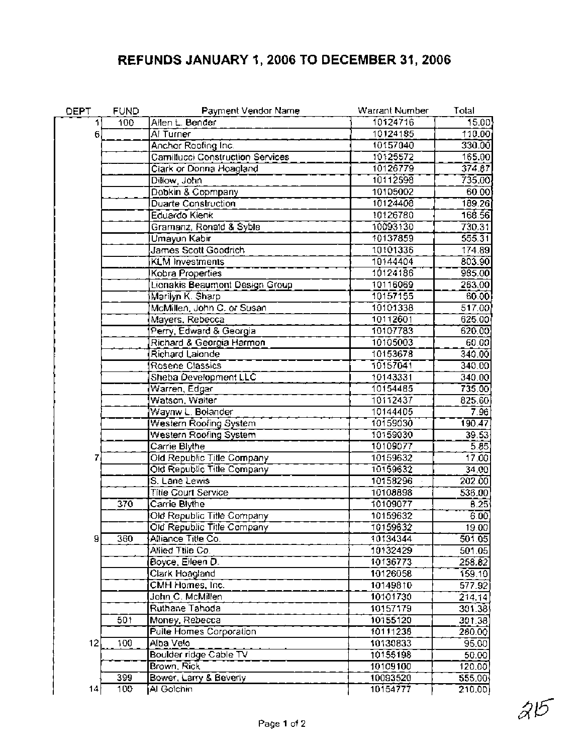### **REFUNDS JANUARY 1,2006 TO DECEMBER 31,2006**

| DEPT | <b>FUND</b>      | Payment Vendor Name              | Warrant Number | Total    |
|------|------------------|----------------------------------|----------------|----------|
| 11   | 100              | Allen L. Bender                  | 10124716       | 15.00    |
| 6,   |                  | Al Turner                        | 10124185       | 110.00   |
|      |                  | Anchor Roofing Inc.              | 10157040       | 330.00   |
|      |                  | Camillucci Construction Services | 10125572       | 165.00   |
|      |                  | Clark or Donna Hoagland          | 10126779       | 374.87   |
|      |                  | Dillow, John                     | 10112598       | 735.00   |
|      |                  | Dobkin & Copmpany                | 10105002       | 60.00    |
|      |                  | Duarte Construction              | 10124408       | 189.26   |
|      |                  | Eduardo Kienk                    | 10126780       | 168.56   |
|      |                  | Gramanz, Ronald & Syble          | 10093130       | 730.31   |
|      |                  | Umayun Kabir                     | 10137859       | 555.31   |
|      |                  | James Scott Goodrich             | 10101336       | 174.89   |
|      |                  | <b>KLM</b> Investments           | 10144404       | 803.90   |
|      |                  | Kobra Properties                 | 10124186       | 985.00   |
|      |                  | Lionakis Beaumont Design Group   | 10116069       | 263.00   |
|      |                  | Marilyn K. Sharp                 | 10157155       | 60.00    |
|      |                  | McMillen, John C. or Susan       | 10101338       | 517.00   |
|      |                  | Mayers, Rebecca                  | 10112601       | 625.00   |
|      |                  | Perry, Edward & Georgia          | 10107783       | 620.00   |
|      |                  | Richard & Georgia Harmon         | 10105003       | 60.00    |
|      |                  | Richard Lalonde                  | 10153678       | 340.00   |
|      |                  | Rosene Classics                  | 10157041       | 340.00   |
|      |                  | Sheba Development LLC            | 10143331       | 340.00   |
|      |                  | Warren, Edgar                    | 10154485       | 735.00   |
|      |                  | Watson, Walter                   | 10112437       | 825.60   |
|      |                  | Waynw L. Bolander                | 10144405       | 7.96     |
|      |                  | Western Roofing System           | 10159030       | 190.47   |
|      |                  | Western Roofing System           | 10159030       | 39.53    |
|      |                  | Carrie Blythe                    | 10109077       | 5.85     |
| 7    |                  | Old Republic Title Company       | 10159632       | 17.00    |
|      |                  | Old Republic Title Company       | 10159632       | 34.00    |
|      |                  | S. Lane Lewis                    | 10158296       | 202.00   |
|      |                  | <b>Title Court Service</b>       | 10108898       | 536.00   |
|      | $\overline{370}$ | Carrie Blythe                    | 10109077       | 8.25     |
|      |                  | Old Republic Title Company       | 10159632       | 6.00     |
|      |                  | Old Republic Title Company       | 10159632       | 19.00    |
| 9    | 360              | Alliance Title Co.               | 10134344       | 501.05   |
|      |                  | Allied Ttile Co.                 | 10132429       | 501.05   |
|      |                  | Boyce, Eileen D.                 | 10136773       | 258.82   |
|      |                  | Clark Hoagland                   | 10126058       | 159.10   |
|      |                  | CMH Homes, Inc.                  | 10149810       | 577.92   |
|      |                  | John C. McMillen                 | 10101730       | [214.14] |
|      |                  | Ruthane Tahoda                   | 10157179       | 301.38   |
|      | 501              | Money, Rebecca                   | 10155120       | 301.38   |
|      |                  | Puite Homes Corporation          | 10111238       | 280.00   |
| 12   | 100              | Alba Velo                        | 10130833       | 95.00    |
|      |                  | Boulder ridge Cable TV           | 10155198       | 50.00    |
|      |                  | Brown, Rick                      | 10109100       | 120.00   |
|      | 399              | Bower, Larry & Beverly           | 10093520       | 555.00   |
| 14   | 100              | Al Golchin                       | 10154777       | 210.00)  |